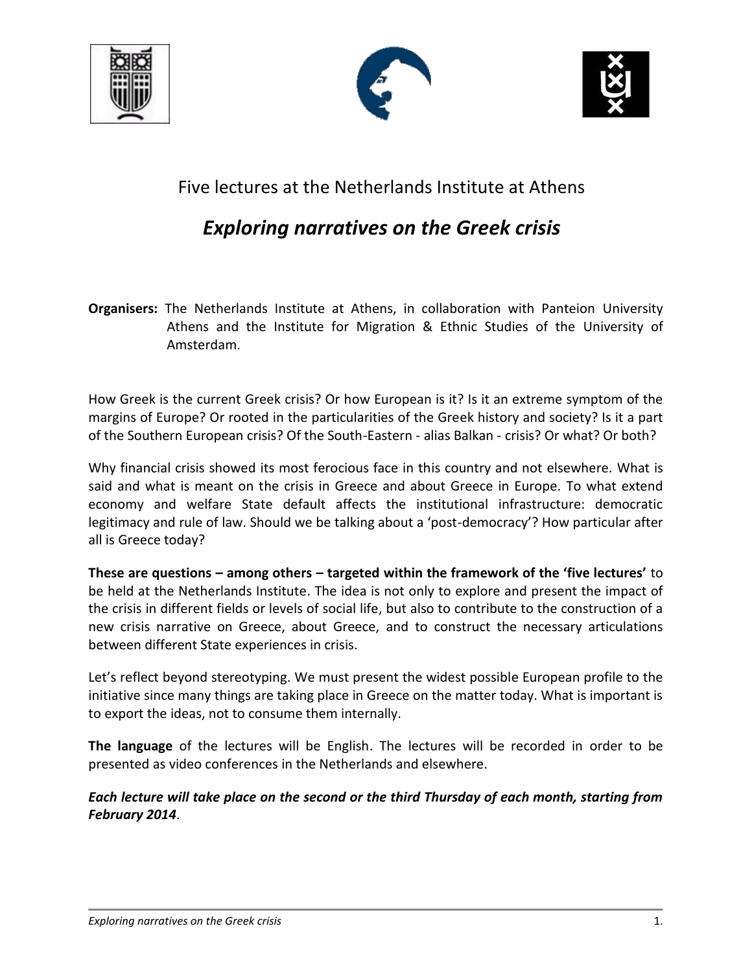





## Five lectures at the Netherlands Institute at Athens

## *Exploring narratives on the Greek crisis*

**Organisers:** The Netherlands Institute at Athens, in collaboration with Panteion University Athens and the Institute for Migration & Ethnic Studies of the University of Amsterdam.

How Greek is the current Greek crisis? Or how European is it? Is it an extreme symptom of the margins of Europe? Or rooted in the particularities of the Greek history and society? Is it a part of the Southern European crisis? Of the South-Eastern - alias Balkan - crisis? Or what? Or both?

Why financial crisis showed its most ferocious face in this country and not elsewhere. What is said and what is meant on the crisis in Greece and about Greece in Europe. To what extend economy and welfare State default affects the institutional infrastructure: democratic legitimacy and rule of law. Should we be talking about a 'post-democracy'? How particular after all is Greece today?

**These are questions – among others – targeted within the framework of the 'five lectures'** to be held at the Netherlands Institute. The idea is not only to explore and present the impact of the crisis in different fields or levels of social life, but also to contribute to the construction of a new crisis narrative on Greece, about Greece, and to construct the necessary articulations between different State experiences in crisis.

Let's reflect beyond stereotyping. We must present the widest possible European profile to the initiative since many things are taking place in Greece on the matter today. What is important is to export the ideas, not to consume them internally.

**The language** of the lectures will be English. The lectures will be recorded in order to be presented as video conferences in the Netherlands and elsewhere.

*Each lecture will take place on the second or the third Thursday of each month, starting from February 2014*.